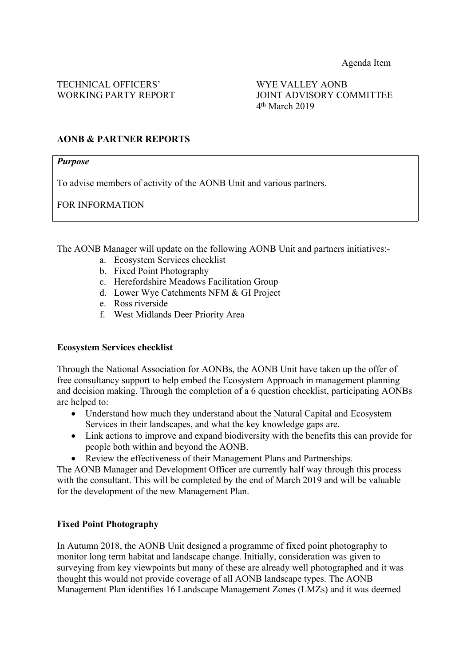WORKING PARTY REPORT JOINT ADVISORY COMMITTEE 4 th March 2019

## **AONB & PARTNER REPORTS**

#### *Purpose*

To advise members of activity of the AONB Unit and various partners.

FOR INFORMATION

The AONB Manager will update on the following AONB Unit and partners initiatives:-

- a. Ecosystem Services checklist
- b. Fixed Point Photography
- c. Herefordshire Meadows Facilitation Group
- d. Lower Wye Catchments NFM & GI Project
- e. Ross riverside
- f. West Midlands Deer Priority Area

### **Ecosystem Services checklist**

Through the National Association for AONBs, the AONB Unit have taken up the offer of free consultancy support to help embed the Ecosystem Approach in management planning and decision making. Through the completion of a 6 question checklist, participating AONBs are helped to:

- Understand how much they understand about the Natural Capital and Ecosystem Services in their landscapes, and what the key knowledge gaps are.
- Link actions to improve and expand biodiversity with the benefits this can provide for people both within and beyond the AONB.
- Review the effectiveness of their Management Plans and Partnerships.

The AONB Manager and Development Officer are currently half way through this process with the consultant. This will be completed by the end of March 2019 and will be valuable for the development of the new Management Plan.

### **Fixed Point Photography**

In Autumn 2018, the AONB Unit designed a programme of fixed point photography to monitor long term habitat and landscape change. Initially, consideration was given to surveying from key viewpoints but many of these are already well photographed and it was thought this would not provide coverage of all AONB landscape types. The AONB Management Plan identifies 16 Landscape Management Zones (LMZs) and it was deemed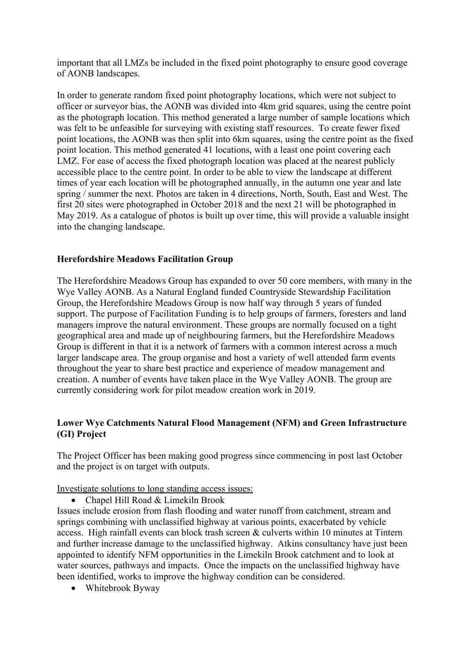important that all LMZs be included in the fixed point photography to ensure good coverage of AONB landscapes.

In order to generate random fixed point photography locations, which were not subject to officer or surveyor bias, the AONB was divided into 4km grid squares, using the centre point as the photograph location. This method generated a large number of sample locations which was felt to be unfeasible for surveying with existing staff resources. To create fewer fixed point locations, the AONB was then split into 6km squares, using the centre point as the fixed point location. This method generated 41 locations, with a least one point covering each LMZ. For ease of access the fixed photograph location was placed at the nearest publicly accessible place to the centre point. In order to be able to view the landscape at different times of year each location will be photographed annually, in the autumn one year and late spring / summer the next. Photos are taken in 4 directions, North, South, East and West. The first 20 sites were photographed in October 2018 and the next 21 will be photographed in May 2019. As a catalogue of photos is built up over time, this will provide a valuable insight into the changing landscape.

## **Herefordshire Meadows Facilitation Group**

The Herefordshire Meadows Group has expanded to over 50 core members, with many in the Wye Valley AONB. As a Natural England funded Countryside Stewardship Facilitation Group, the Herefordshire Meadows Group is now half way through 5 years of funded support. The purpose of Facilitation Funding is to help groups of farmers, foresters and land managers improve the natural environment. These groups are normally focused on a tight geographical area and made up of neighbouring farmers, but the Herefordshire Meadows Group is different in that it is a network of farmers with a common interest across a much larger landscape area. The group organise and host a variety of well attended farm events throughout the year to share best practice and experience of meadow management and creation. A number of events have taken place in the Wye Valley AONB. The group are currently considering work for pilot meadow creation work in 2019.

# **Lower Wye Catchments Natural Flood Management (NFM) and Green Infrastructure (GI) Project**

The Project Officer has been making good progress since commencing in post last October and the project is on target with outputs.

Investigate solutions to long standing access issues:

• Chapel Hill Road & Limekiln Brook

Issues include erosion from flash flooding and water runoff from catchment, stream and springs combining with unclassified highway at various points, exacerbated by vehicle access. High rainfall events can block trash screen & culverts within 10 minutes at Tintern and further increase damage to the unclassified highway. Atkins consultancy have just been appointed to identify NFM opportunities in the Limekiln Brook catchment and to look at water sources, pathways and impacts. Once the impacts on the unclassified highway have been identified, works to improve the highway condition can be considered.

• Whitebrook Byway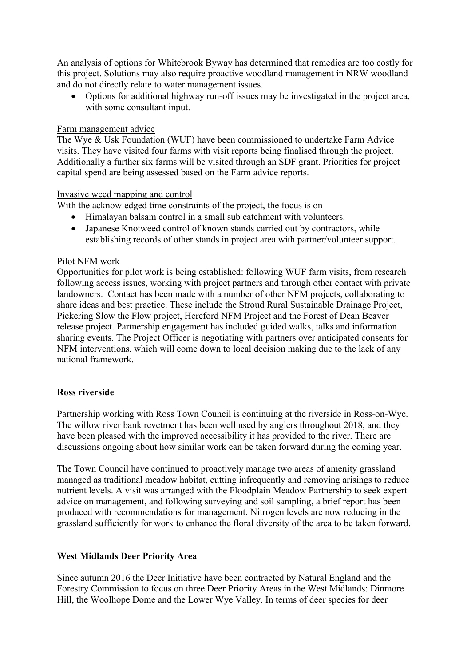An analysis of options for Whitebrook Byway has determined that remedies are too costly for this project. Solutions may also require proactive woodland management in NRW woodland and do not directly relate to water management issues.

 Options for additional highway run-off issues may be investigated in the project area, with some consultant input.

### Farm management advice

The Wye & Usk Foundation (WUF) have been commissioned to undertake Farm Advice visits. They have visited four farms with visit reports being finalised through the project. Additionally a further six farms will be visited through an SDF grant. Priorities for project capital spend are being assessed based on the Farm advice reports.

## Invasive weed mapping and control

With the acknowledged time constraints of the project, the focus is on

- Himalayan balsam control in a small sub catchment with volunteers.
- Japanese Knotweed control of known stands carried out by contractors, while establishing records of other stands in project area with partner/volunteer support.

## Pilot NFM work

Opportunities for pilot work is being established: following WUF farm visits, from research following access issues, working with project partners and through other contact with private landowners. Contact has been made with a number of other NFM projects, collaborating to share ideas and best practice. These include the Stroud Rural Sustainable Drainage Project, Pickering Slow the Flow project, Hereford NFM Project and the Forest of Dean Beaver release project. Partnership engagement has included guided walks, talks and information sharing events. The Project Officer is negotiating with partners over anticipated consents for NFM interventions, which will come down to local decision making due to the lack of any national framework.

# **Ross riverside**

Partnership working with Ross Town Council is continuing at the riverside in Ross-on-Wye. The willow river bank revetment has been well used by anglers throughout 2018, and they have been pleased with the improved accessibility it has provided to the river. There are discussions ongoing about how similar work can be taken forward during the coming year.

The Town Council have continued to proactively manage two areas of amenity grassland managed as traditional meadow habitat, cutting infrequently and removing arisings to reduce nutrient levels. A visit was arranged with the Floodplain Meadow Partnership to seek expert advice on management, and following surveying and soil sampling, a brief report has been produced with recommendations for management. Nitrogen levels are now reducing in the grassland sufficiently for work to enhance the floral diversity of the area to be taken forward.

# **West Midlands Deer Priority Area**

Since autumn 2016 the Deer Initiative have been contracted by Natural England and the Forestry Commission to focus on three Deer Priority Areas in the West Midlands: Dinmore Hill, the Woolhope Dome and the Lower Wye Valley. In terms of deer species for deer